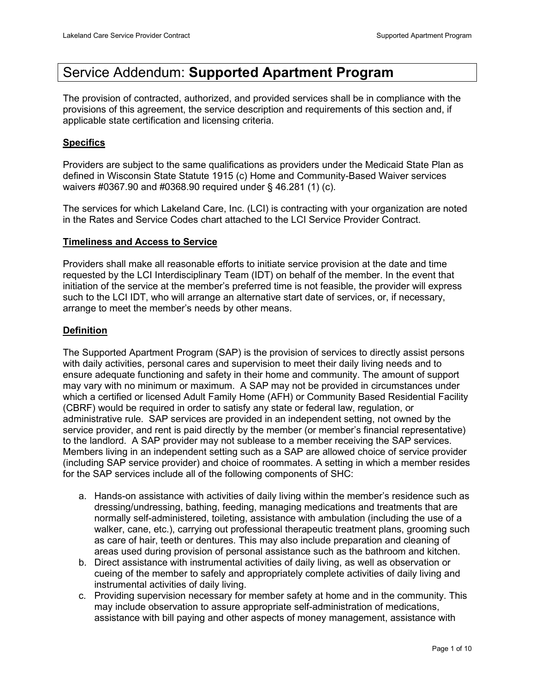# Service Addendum: **Supported Apartment Program**

The provision of contracted, authorized, and provided services shall be in compliance with the provisions of this agreement, the service description and requirements of this section and, if applicable state certification and licensing criteria.

# **Specifics**

Providers are subject to the same qualifications as providers under the Medicaid State Plan as defined in Wisconsin State Statute 1915 (c) Home and Community-Based Waiver services waivers #0367.90 and #0368.90 required under § 46.281 (1) (c).

The services for which Lakeland Care, Inc. (LCI) is contracting with your organization are noted in the Rates and Service Codes chart attached to the LCI Service Provider Contract.

## **Timeliness and Access to Service**

Providers shall make all reasonable efforts to initiate service provision at the date and time requested by the LCI Interdisciplinary Team (IDT) on behalf of the member. In the event that initiation of the service at the member's preferred time is not feasible, the provider will express such to the LCI IDT, who will arrange an alternative start date of services, or, if necessary, arrange to meet the member's needs by other means.

# **Definition**

The Supported Apartment Program (SAP) is the provision of services to directly assist persons with daily activities, personal cares and supervision to meet their daily living needs and to ensure adequate functioning and safety in their home and community. The amount of support may vary with no minimum or maximum. A SAP may not be provided in circumstances under which a certified or licensed Adult Family Home (AFH) or Community Based Residential Facility (CBRF) would be required in order to satisfy any state or federal law, regulation, or administrative rule. SAP services are provided in an independent setting, not owned by the service provider, and rent is paid directly by the member (or member's financial representative) to the landlord. A SAP provider may not sublease to a member receiving the SAP services. Members living in an independent setting such as a SAP are allowed choice of service provider (including SAP service provider) and choice of roommates. A setting in which a member resides for the SAP services include all of the following components of SHC:

- a. Hands-on assistance with activities of daily living within the member's residence such as dressing/undressing, bathing, feeding, managing medications and treatments that are normally self-administered, toileting, assistance with ambulation (including the use of a walker, cane, etc.), carrying out professional therapeutic treatment plans, grooming such as care of hair, teeth or dentures. This may also include preparation and cleaning of areas used during provision of personal assistance such as the bathroom and kitchen.
- b. Direct assistance with instrumental activities of daily living, as well as observation or cueing of the member to safely and appropriately complete activities of daily living and instrumental activities of daily living.
- c. Providing supervision necessary for member safety at home and in the community. This may include observation to assure appropriate self-administration of medications, assistance with bill paying and other aspects of money management, assistance with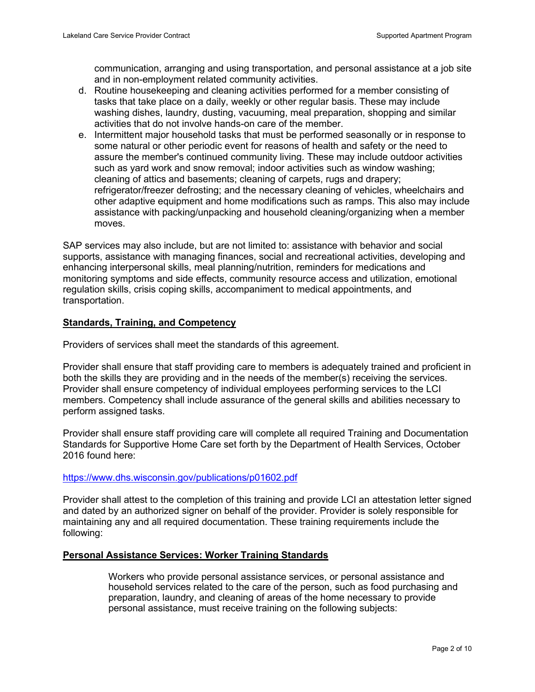communication, arranging and using transportation, and personal assistance at a job site and in non-employment related community activities.

- d. Routine housekeeping and cleaning activities performed for a member consisting of tasks that take place on a daily, weekly or other regular basis. These may include washing dishes, laundry, dusting, vacuuming, meal preparation, shopping and similar activities that do not involve hands-on care of the member.
- e. Intermittent major household tasks that must be performed seasonally or in response to some natural or other periodic event for reasons of health and safety or the need to assure the member's continued community living. These may include outdoor activities such as yard work and snow removal; indoor activities such as window washing; cleaning of attics and basements; cleaning of carpets, rugs and drapery; refrigerator/freezer defrosting; and the necessary cleaning of vehicles, wheelchairs and other adaptive equipment and home modifications such as ramps. This also may include assistance with packing/unpacking and household cleaning/organizing when a member moves.

SAP services may also include, but are not limited to: assistance with behavior and social supports, assistance with managing finances, social and recreational activities, developing and enhancing interpersonal skills, meal planning/nutrition, reminders for medications and monitoring symptoms and side effects, community resource access and utilization, emotional regulation skills, crisis coping skills, accompaniment to medical appointments, and transportation.

## **Standards, Training, and Competency**

Providers of services shall meet the standards of this agreement.

Provider shall ensure that staff providing care to members is adequately trained and proficient in both the skills they are providing and in the needs of the member(s) receiving the services. Provider shall ensure competency of individual employees performing services to the LCI members. Competency shall include assurance of the general skills and abilities necessary to perform assigned tasks.

Provider shall ensure staff providing care will complete all required Training and Documentation Standards for Supportive Home Care set forth by the Department of Health Services, October 2016 found here:

#### <https://www.dhs.wisconsin.gov/publications/p01602.pdf>

Provider shall attest to the completion of this training and provide LCI an attestation letter signed and dated by an authorized signer on behalf of the provider. Provider is solely responsible for maintaining any and all required documentation. These training requirements include the following:

#### **Personal Assistance Services: Worker Training Standards**

Workers who provide personal assistance services, or personal assistance and household services related to the care of the person, such as food purchasing and preparation, laundry, and cleaning of areas of the home necessary to provide personal assistance, must receive training on the following subjects: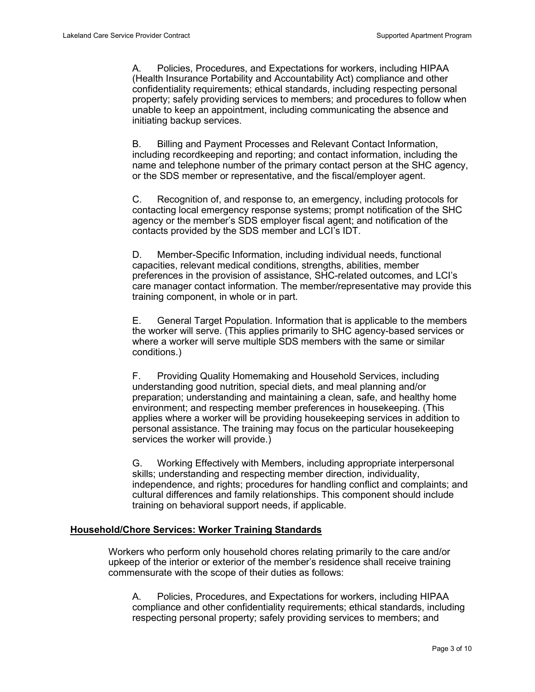A. Policies, Procedures, and Expectations for workers, including HIPAA (Health Insurance Portability and Accountability Act) compliance and other confidentiality requirements; ethical standards, including respecting personal property; safely providing services to members; and procedures to follow when unable to keep an appointment, including communicating the absence and initiating backup services.

B. Billing and Payment Processes and Relevant Contact Information, including recordkeeping and reporting; and contact information, including the name and telephone number of the primary contact person at the SHC agency, or the SDS member or representative, and the fiscal/employer agent.

C. Recognition of, and response to, an emergency, including protocols for contacting local emergency response systems; prompt notification of the SHC agency or the member's SDS employer fiscal agent; and notification of the contacts provided by the SDS member and LCI's IDT.

D. Member-Specific Information, including individual needs, functional capacities, relevant medical conditions, strengths, abilities, member preferences in the provision of assistance, SHC-related outcomes, and LCI's care manager contact information. The member/representative may provide this training component, in whole or in part.

E. General Target Population. Information that is applicable to the members the worker will serve. (This applies primarily to SHC agency-based services or where a worker will serve multiple SDS members with the same or similar conditions.)

F. Providing Quality Homemaking and Household Services, including understanding good nutrition, special diets, and meal planning and/or preparation; understanding and maintaining a clean, safe, and healthy home environment; and respecting member preferences in housekeeping. (This applies where a worker will be providing housekeeping services in addition to personal assistance. The training may focus on the particular housekeeping services the worker will provide.)

G. Working Effectively with Members, including appropriate interpersonal skills; understanding and respecting member direction, individuality, independence, and rights; procedures for handling conflict and complaints; and cultural differences and family relationships. This component should include training on behavioral support needs, if applicable.

## **Household/Chore Services: Worker Training Standards**

Workers who perform only household chores relating primarily to the care and/or upkeep of the interior or exterior of the member's residence shall receive training commensurate with the scope of their duties as follows:

A. Policies, Procedures, and Expectations for workers, including HIPAA compliance and other confidentiality requirements; ethical standards, including respecting personal property; safely providing services to members; and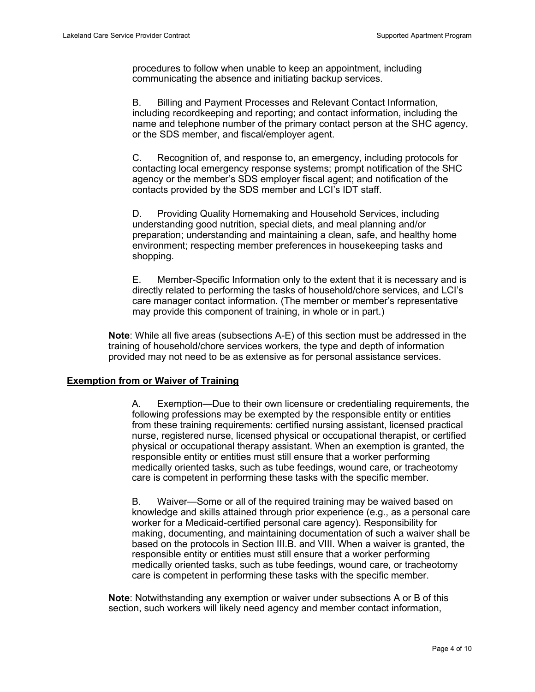procedures to follow when unable to keep an appointment, including communicating the absence and initiating backup services.

B. Billing and Payment Processes and Relevant Contact Information, including recordkeeping and reporting; and contact information, including the name and telephone number of the primary contact person at the SHC agency, or the SDS member, and fiscal/employer agent.

C. Recognition of, and response to, an emergency, including protocols for contacting local emergency response systems; prompt notification of the SHC agency or the member's SDS employer fiscal agent; and notification of the contacts provided by the SDS member and LCI's IDT staff.

D. Providing Quality Homemaking and Household Services, including understanding good nutrition, special diets, and meal planning and/or preparation; understanding and maintaining a clean, safe, and healthy home environment; respecting member preferences in housekeeping tasks and shopping.

E. Member-Specific Information only to the extent that it is necessary and is directly related to performing the tasks of household/chore services, and LCI's care manager contact information. (The member or member's representative may provide this component of training, in whole or in part.)

**Note**: While all five areas (subsections A-E) of this section must be addressed in the training of household/chore services workers, the type and depth of information provided may not need to be as extensive as for personal assistance services.

## **Exemption from or Waiver of Training**

A. Exemption—Due to their own licensure or credentialing requirements, the following professions may be exempted by the responsible entity or entities from these training requirements: certified nursing assistant, licensed practical nurse, registered nurse, licensed physical or occupational therapist, or certified physical or occupational therapy assistant. When an exemption is granted, the responsible entity or entities must still ensure that a worker performing medically oriented tasks, such as tube feedings, wound care, or tracheotomy care is competent in performing these tasks with the specific member.

B. Waiver—Some or all of the required training may be waived based on knowledge and skills attained through prior experience (e.g., as a personal care worker for a Medicaid-certified personal care agency). Responsibility for making, documenting, and maintaining documentation of such a waiver shall be based on the protocols in Section III.B. and VIII. When a waiver is granted, the responsible entity or entities must still ensure that a worker performing medically oriented tasks, such as tube feedings, wound care, or tracheotomy care is competent in performing these tasks with the specific member.

**Note**: Notwithstanding any exemption or waiver under subsections A or B of this section, such workers will likely need agency and member contact information,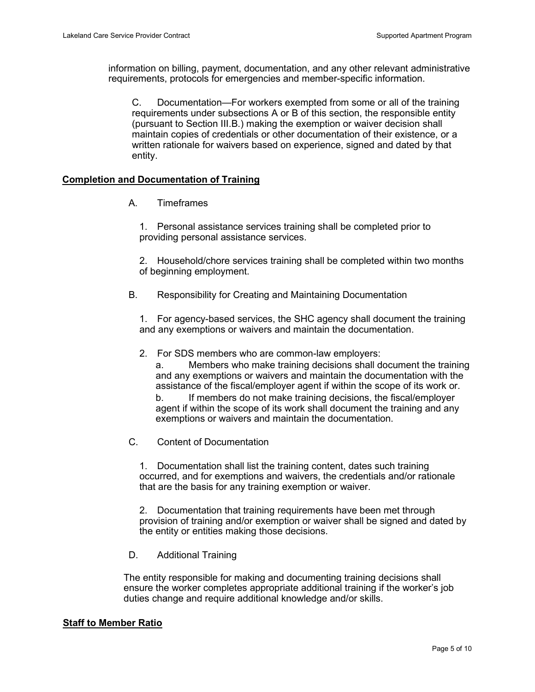information on billing, payment, documentation, and any other relevant administrative requirements, protocols for emergencies and member-specific information.

C. Documentation—For workers exempted from some or all of the training requirements under subsections A or B of this section, the responsible entity (pursuant to Section III.B.) making the exemption or waiver decision shall maintain copies of credentials or other documentation of their existence, or a written rationale for waivers based on experience, signed and dated by that entity.

## **Completion and Documentation of Training**

A. Timeframes

1. Personal assistance services training shall be completed prior to providing personal assistance services.

2. Household/chore services training shall be completed within two months of beginning employment.

B. Responsibility for Creating and Maintaining Documentation

1. For agency-based services, the SHC agency shall document the training and any exemptions or waivers and maintain the documentation.

2. For SDS members who are common-law employers:

a. Members who make training decisions shall document the training and any exemptions or waivers and maintain the documentation with the assistance of the fiscal/employer agent if within the scope of its work or.

b. If members do not make training decisions, the fiscal/employer agent if within the scope of its work shall document the training and any exemptions or waivers and maintain the documentation.

C. Content of Documentation

1. Documentation shall list the training content, dates such training occurred, and for exemptions and waivers, the credentials and/or rationale that are the basis for any training exemption or waiver.

2. Documentation that training requirements have been met through provision of training and/or exemption or waiver shall be signed and dated by the entity or entities making those decisions.

D. Additional Training

The entity responsible for making and documenting training decisions shall ensure the worker completes appropriate additional training if the worker's job duties change and require additional knowledge and/or skills.

## **Staff to Member Ratio**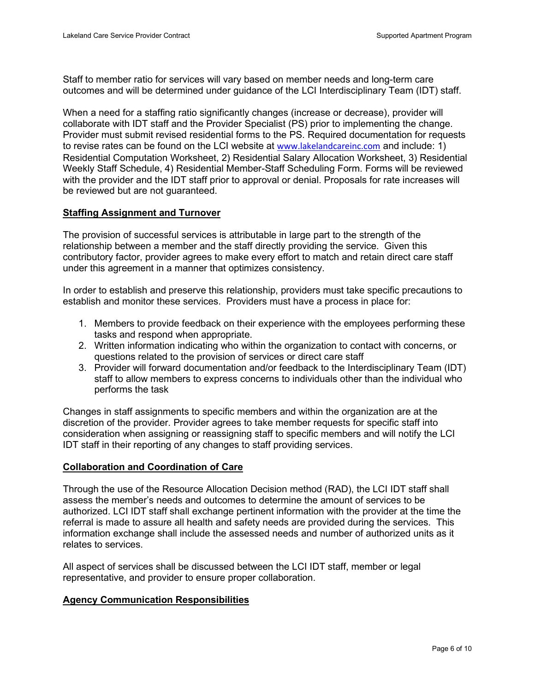Staff to member ratio for services will vary based on member needs and long-term care outcomes and will be determined under guidance of the LCI Interdisciplinary Team (IDT) staff.

When a need for a staffing ratio significantly changes (increase or decrease), provider will collaborate with IDT staff and the Provider Specialist (PS) prior to implementing the change. Provider must submit revised residential forms to the PS. Required documentation for requests to revise rates can be found on the LCI website at [www.lakelandcareinc.com](https://www.lakelandcareinc.com/providers/forms-and-materials/) and include: 1) Residential Computation Worksheet, 2) Residential Salary Allocation Worksheet, 3) Residential Weekly Staff Schedule, 4) Residential Member-Staff Scheduling Form. Forms will be reviewed with the provider and the IDT staff prior to approval or denial. Proposals for rate increases will be reviewed but are not guaranteed.

#### **Staffing Assignment and Turnover**

The provision of successful services is attributable in large part to the strength of the relationship between a member and the staff directly providing the service. Given this contributory factor, provider agrees to make every effort to match and retain direct care staff under this agreement in a manner that optimizes consistency.

In order to establish and preserve this relationship, providers must take specific precautions to establish and monitor these services. Providers must have a process in place for:

- 1. Members to provide feedback on their experience with the employees performing these tasks and respond when appropriate.
- 2. Written information indicating who within the organization to contact with concerns, or questions related to the provision of services or direct care staff
- 3. Provider will forward documentation and/or feedback to the Interdisciplinary Team (IDT) staff to allow members to express concerns to individuals other than the individual who performs the task

Changes in staff assignments to specific members and within the organization are at the discretion of the provider. Provider agrees to take member requests for specific staff into consideration when assigning or reassigning staff to specific members and will notify the LCI IDT staff in their reporting of any changes to staff providing services.

#### **Collaboration and Coordination of Care**

Through the use of the Resource Allocation Decision method (RAD), the LCI IDT staff shall assess the member's needs and outcomes to determine the amount of services to be authorized. LCI IDT staff shall exchange pertinent information with the provider at the time the referral is made to assure all health and safety needs are provided during the services. This information exchange shall include the assessed needs and number of authorized units as it relates to services.

All aspect of services shall be discussed between the LCI IDT staff, member or legal representative, and provider to ensure proper collaboration.

#### **Agency Communication Responsibilities**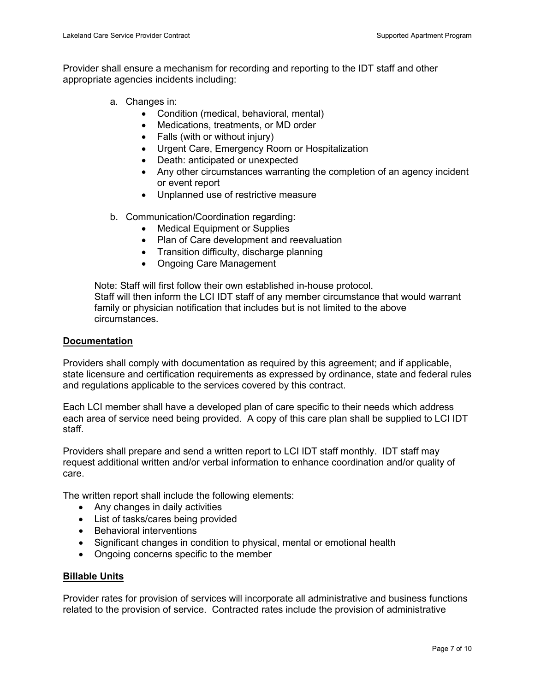Provider shall ensure a mechanism for recording and reporting to the IDT staff and other appropriate agencies incidents including:

- a. Changes in:
	- Condition (medical, behavioral, mental)
	- Medications, treatments, or MD order
	- Falls (with or without injury)
	- Urgent Care, Emergency Room or Hospitalization
	- Death: anticipated or unexpected
	- Any other circumstances warranting the completion of an agency incident or event report
	- Unplanned use of restrictive measure
- b. Communication/Coordination regarding:
	- **Medical Equipment or Supplies**
	- Plan of Care development and reevaluation
	- Transition difficulty, discharge planning
	- Ongoing Care Management

Note: Staff will first follow their own established in-house protocol. Staff will then inform the LCI IDT staff of any member circumstance that would warrant family or physician notification that includes but is not limited to the above circumstances.

#### **Documentation**

Providers shall comply with documentation as required by this agreement; and if applicable, state licensure and certification requirements as expressed by ordinance, state and federal rules and regulations applicable to the services covered by this contract.

Each LCI member shall have a developed plan of care specific to their needs which address each area of service need being provided. A copy of this care plan shall be supplied to LCI IDT staff.

Providers shall prepare and send a written report to LCI IDT staff monthly. IDT staff may request additional written and/or verbal information to enhance coordination and/or quality of care.

The written report shall include the following elements:

- Any changes in daily activities
- List of tasks/cares being provided
- Behavioral interventions
- Significant changes in condition to physical, mental or emotional health
- Ongoing concerns specific to the member

## **Billable Units**

Provider rates for provision of services will incorporate all administrative and business functions related to the provision of service. Contracted rates include the provision of administrative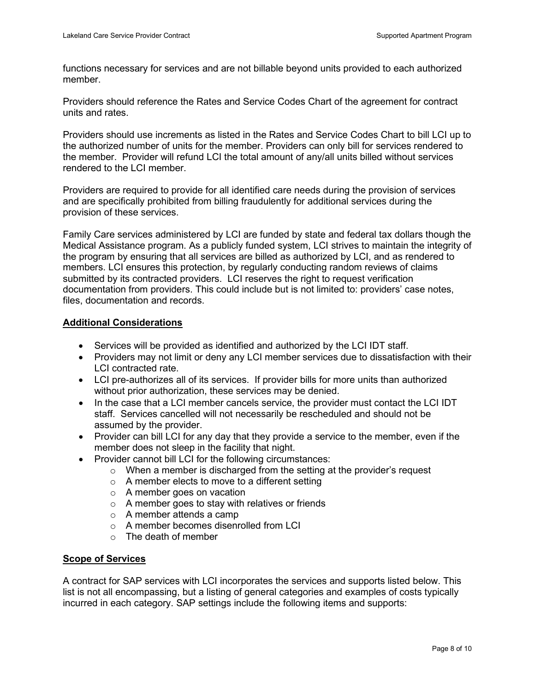functions necessary for services and are not billable beyond units provided to each authorized member.

Providers should reference the Rates and Service Codes Chart of the agreement for contract units and rates.

Providers should use increments as listed in the Rates and Service Codes Chart to bill LCI up to the authorized number of units for the member. Providers can only bill for services rendered to the member. Provider will refund LCI the total amount of any/all units billed without services rendered to the LCI member.

Providers are required to provide for all identified care needs during the provision of services and are specifically prohibited from billing fraudulently for additional services during the provision of these services.

Family Care services administered by LCI are funded by state and federal tax dollars though the Medical Assistance program. As a publicly funded system, LCI strives to maintain the integrity of the program by ensuring that all services are billed as authorized by LCI, and as rendered to members. LCI ensures this protection, by regularly conducting random reviews of claims submitted by its contracted providers. LCI reserves the right to request verification documentation from providers. This could include but is not limited to: providers' case notes, files, documentation and records.

#### **Additional Considerations**

- Services will be provided as identified and authorized by the LCI IDT staff.
- Providers may not limit or deny any LCI member services due to dissatisfaction with their LCI contracted rate.
- LCI pre-authorizes all of its services. If provider bills for more units than authorized without prior authorization, these services may be denied.
- In the case that a LCI member cancels service, the provider must contact the LCI IDT staff. Services cancelled will not necessarily be rescheduled and should not be assumed by the provider.
- Provider can bill LCI for any day that they provide a service to the member, even if the member does not sleep in the facility that night.
- Provider cannot bill LCI for the following circumstances:
	- $\circ$  When a member is discharged from the setting at the provider's request
	- $\circ$  A member elects to move to a different setting
	- $\circ$  A member goes on vacation
	- o A member goes to stay with relatives or friends
	- o A member attends a camp
	- o A member becomes disenrolled from LCI
	- o The death of member

## **Scope of Services**

A contract for SAP services with LCI incorporates the services and supports listed below. This list is not all encompassing, but a listing of general categories and examples of costs typically incurred in each category. SAP settings include the following items and supports: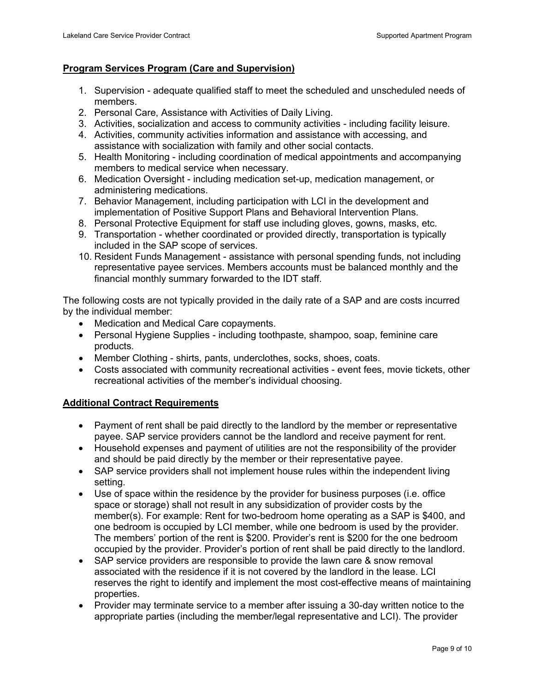# **Program Services Program (Care and Supervision)**

- 1. Supervision adequate qualified staff to meet the scheduled and unscheduled needs of members.
- 2. Personal Care, Assistance with Activities of Daily Living.
- 3. Activities, socialization and access to community activities including facility leisure.
- 4. Activities, community activities information and assistance with accessing, and assistance with socialization with family and other social contacts.
- 5. Health Monitoring including coordination of medical appointments and accompanying members to medical service when necessary.
- 6. Medication Oversight including medication set-up, medication management, or administering medications.
- 7. Behavior Management, including participation with LCI in the development and implementation of Positive Support Plans and Behavioral Intervention Plans.
- 8. Personal Protective Equipment for staff use including gloves, gowns, masks, etc.
- 9. Transportation whether coordinated or provided directly, transportation is typically included in the SAP scope of services.
- 10. Resident Funds Management assistance with personal spending funds, not including representative payee services. Members accounts must be balanced monthly and the financial monthly summary forwarded to the IDT staff.

The following costs are not typically provided in the daily rate of a SAP and are costs incurred by the individual member:

- Medication and Medical Care copayments.
- Personal Hygiene Supplies including toothpaste, shampoo, soap, feminine care products.
- Member Clothing shirts, pants, underclothes, socks, shoes, coats.
- Costs associated with community recreational activities event fees, movie tickets, other recreational activities of the member's individual choosing.

## **Additional Contract Requirements**

- Payment of rent shall be paid directly to the landlord by the member or representative payee. SAP service providers cannot be the landlord and receive payment for rent.
- Household expenses and payment of utilities are not the responsibility of the provider and should be paid directly by the member or their representative payee.
- SAP service providers shall not implement house rules within the independent living setting.
- Use of space within the residence by the provider for business purposes (i.e. office space or storage) shall not result in any subsidization of provider costs by the member(s). For example: Rent for two-bedroom home operating as a SAP is \$400, and one bedroom is occupied by LCI member, while one bedroom is used by the provider. The members' portion of the rent is \$200. Provider's rent is \$200 for the one bedroom occupied by the provider. Provider's portion of rent shall be paid directly to the landlord.
- SAP service providers are responsible to provide the lawn care & snow removal associated with the residence if it is not covered by the landlord in the lease. LCI reserves the right to identify and implement the most cost-effective means of maintaining properties.
- Provider may terminate service to a member after issuing a 30-day written notice to the appropriate parties (including the member/legal representative and LCI). The provider